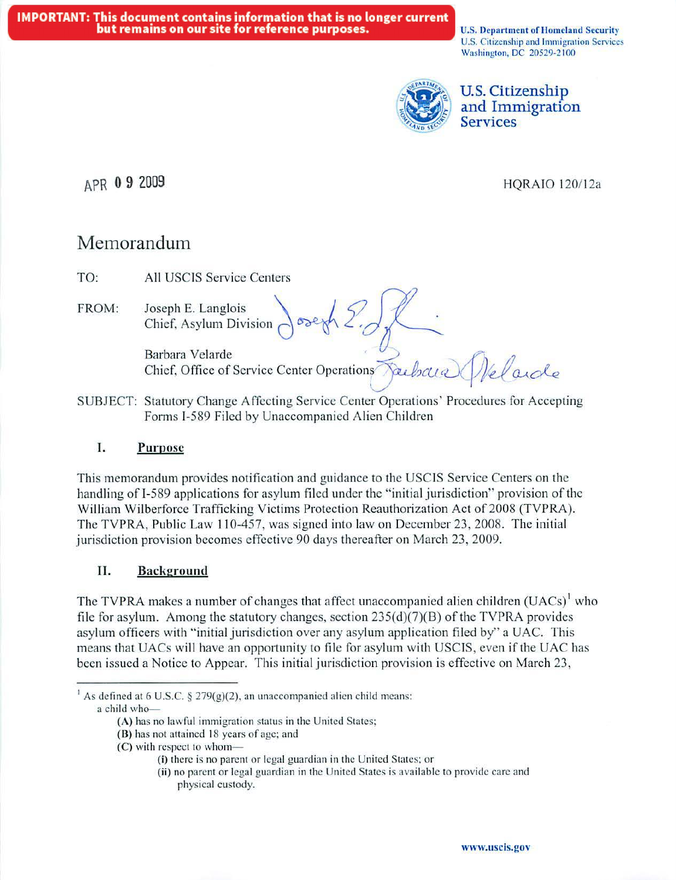U.S. Department of Homeland Security U.S. Citizenship and Immigration Services Washington, DC 20529-2100



## U.S. Citizenship and Immigration **Services**

## APR 0 9 2009

## HQRAIO 120112a

# Memorandum

TO: All USCIS Service Centers

FROM: Joseph E. Langlois Chief, Asylum Division 00erh 2.0

 $Barbara Velarde$ <br>
Chief, Office of Service Center Operations

SUBJECT: Statutory Change Affecting Service Center Operations' Procedures for Accepting Forms I-589 Filed by Unaccompanied Alien Children

## I. **Purpose**

This memorandum provides notification and guidance to the USCIS Service Centers on the handling of I-589 applications for asylum filed under the "initial jurisdiction" provision of the William Wilberforce Trafficking Victims Protection Reauthorization Act of 2008 (TVPRA). The TVPRA, Public Law 110-457, was signed into law on December 23, 2008. The initial jurisdiction provision becomes effective 90 days thereafter on March 23, 2009.

## II. **Background**

The TVPRA makes a number of changes that affect unaccompanied alien children  $(UACs)^{1}$  who file for asylum. Among the statutory changes, section  $235(d)(7)(B)$  of the TVPRA provides asylum officers with "initial jurisdiction over any asylum application filed by" a UAC. This means that UACs will have an opportunity to file for asylum with USCTS, even if the UAC has been issued a Notice to Appear. This initial jurisdiction provision is effective on March 23,

<sup>&</sup>lt;sup>1</sup> As defined at 6 U.S.C. § 279(g)(2), an unaccompanied alien child means: a child who-

<sup>(</sup>A) has no lawful immigration status in the United States;

<sup>(</sup>B) has not attained 18 years of age; and

 $(C)$  with respect to whom-

<sup>(</sup>i) there is no parent or legal guardian in the United States; or

<sup>(</sup>ii) no parent or legal guardian in the United States is avai lable to provide care and physical custody.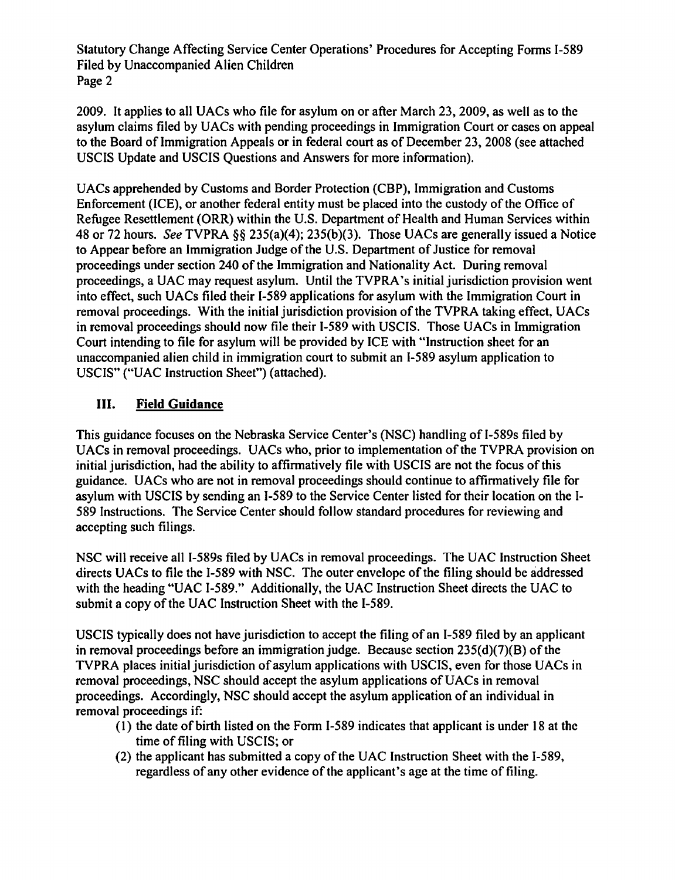Statutory Change Affecting Service Center Operations' Procedures for Accepting Forms I-589 Filed by Unaccompanied Alien Children Page 2

2009. It applies to all UACs who file for asylum on or after March 23, 2009, as well as to the asylum claims filed by UACs with pending proceedings in Immigration Court or cases on appeal to the Board of Immigration Appeals or in federal court as of December 23, 2008 (see attached USCIS Update and USCIS Ouestions and Answers for more information).

UACs apprehended by Customs and Border Protection (CBP), Immigration and Customs Enforcement (ICE), or another federal entity must be placed into the custody of the Office of Refugee Resettlement (ORR) within the U.S. Department of Health and Human Services within 48 or 72 hours. See TVPRA §§ 235(a)(4); 235(b)(3). Those UACs are generally issued a Notice to Appear before an Immigration Judge of the U.S. Department of Justice for removal proceedings under section 240 of the Immigration and Nationality Act. During removal proceedings, a UAC may request asylum. Until the TVPRA's initial jurisdiction provision went into effect, such UACs filed their I-589 applications for asylum with the Immigration Court in removal proceedings. With the initial jurisdiction provision of the TVPRA taking effect, UACs in removal proceedings should now file their I-589 with USCIS. Those UACs in Immigration Court intending to file for asylum will be provided by ICE with "Instruction sheet for an unaccompanied alien child in immigration court to submit an I-589 asylum application to USCIS" ("UAC Instruction Sheet") (attached).

#### III. **Field Guidance**

This guidance focuses on the Nebraska Service Center's (NSC) handling of I-589s filed by UACs in removal proceedings. UACs who, prior to implementation of the TVPRA provision on initial jurisdiction, had the ability to affirmatively file with USCIS are not the focus of this guidance. UACs who are not in removal proceedings should continue to affirmatively file for asylum with USCIS by sending an I-589 to the Service Center listed for their location on the I-589 Instructions. The Service Center should follow standard procedures for reviewing and accepting such filings.

NSC will receive all I-589s filed by UACs in removal proceedings. The UAC Instruction Sheet directs UACs to file the I-589 with NSC. The outer envelope of the filing should be addressed with the heading "UAC I-589." Additionally, the UAC Instruction Sheet directs the UAC to submit a copy of the UAC Instruction Sheet with the I-589.

USCIS typically does not have jurisdiction to accept the filing of an I-589 filed by an applicant in removal proceedings before an immigration judge. Because section  $235(d)(7)(B)$  of the TVPRA places initial jurisdiction of asylum applications with USCIS, even for those UACs in removal proceedings, NSC should accept the asylum applications of UACs in removal proceedings. Accordingly, NSC should accept the asylum application of an individual in removal proceedings if:

- (1) the date of birth listed on the Form I-589 indicates that applicant is under 18 at the time of filing with USCIS; or
- (2) the applicant has submitted a copy of the UAC Instruction Sheet with the I-589. regardless of any other evidence of the applicant's age at the time of filing.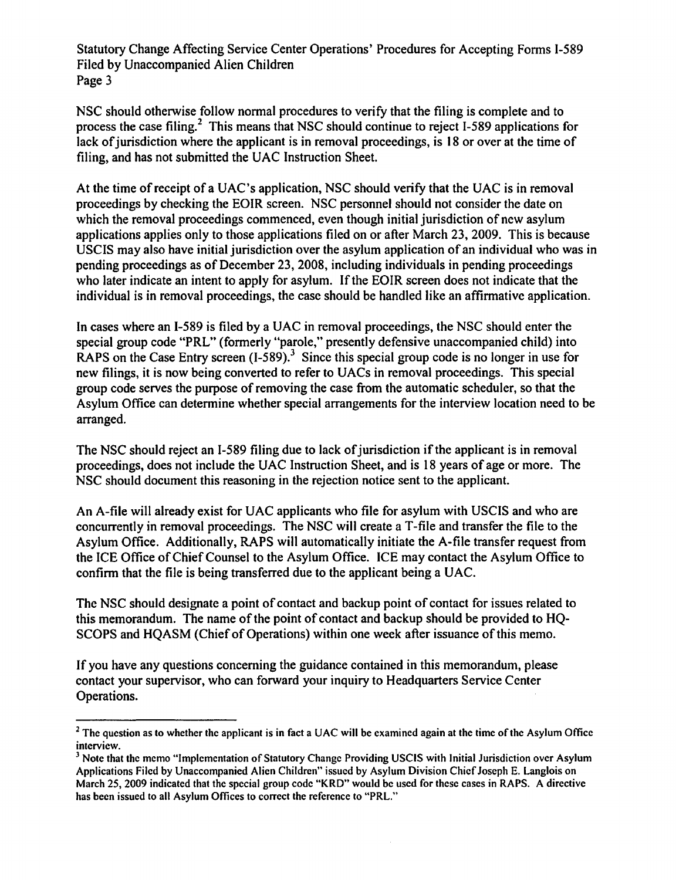Statutory Change Affecting Service Center Operations' Procedures for Accepting Forms 1-589 Filed by Unaccompanied Alien Children Page 3

NSC should otherwise follow normal procedures to verify that the filing is complete and to process the case filing.<sup>2</sup> This means that NSC should continue to reject I-589 applications for lack of jurisdiction where the applicant is in removal proceedings, is 18 or over at the time of filing, and has not submitted the UAC Instruction Sheet.

At the time of receipt of a UAC's application, NSC should verify that the UAC is in removal proceedings by checking the EOIR screen. NSC personnel should not consider the date on which the removal proceedings commenced, even though initial jurisdiction of new asylum applications applies only to those applications filed on or after March 23, 2009. This is because USCIS may also have initial jurisdiction over the asylum application of an individual who was in pending proceedings as of December 23, 2008, including individuals in pending proceedings who later indicate an intent to apply for asylum. If the EOIR screen does not indicate that the individual is in removal proceedings, the case should be handled like an affirmative application.

In cases where an 1-589 is filed by a UAC in removal proceedings, the NSC should enter the special group code "PRL" (formerly "parole," presently defensive unaccompanied child) into RAPS on the Case Entry screen  $(I-589)$ .<sup>3</sup> Since this special group code is no longer in use for new filings, it is now being converted to refer to UACs in removal proceedings. This special group code serves the purpose of removing the case from the automatic scheduler, so that the Asylum Office can determine whether special arrangements for the interview location need to be arranged.

The NSC should reject an 1-589 filing due to lack of jurisdiction if the applicant is in removal proceedings, does not include the UAC Instruction Sheet, and is 18 years of age or more. The NSC should document this reasoning in the rejection notice sent to the applicant.

An A-file will already exist for UAC applicants who file for asylum with USCIS and who are concurrently in removal proceedings. The NSC will create a T-file and transfer the file to the Asylum Office. Additionally, RAPS will automatically initiate the A-file transfer request from the ICE Office of Chief Counsel to the Asylum Office. ICE may contact the Asylum Office to confirm that the file is being transferred due to the applicant being a UAC.

The NSC should designate a point of contact and backup point of contact for issues related to this memorandum. The name of the point of contact and backup should be provided to HQ-SCOPS and HQASM (Chief of Operations) within one week after issuance of this memo.

If you have any questions concerning the guidance contained in this memorandum, please contact your supervisor, who can forward your inquiry to Headquarters Service Center Operations.

<sup>&</sup>lt;sup>2</sup> The question as to whether the applicant is in fact a UAC will be examined again at the time of the Asylum Office interview.

<sup>&</sup>lt;sup>3</sup> Note that the memo "Implementation of Statutory Change Providing USCIS with Initial Jurisdiction over Asylum Applications Filed by Unaccompanied Alien Children" issued by Asylum Division Chief Joseph E. Langlois on March 25, 2009 indicated that the special group code "KRD" would be used for these cases in RAPS. A directive has been issued to all Asylum Offices to correct the reference to "PRL."